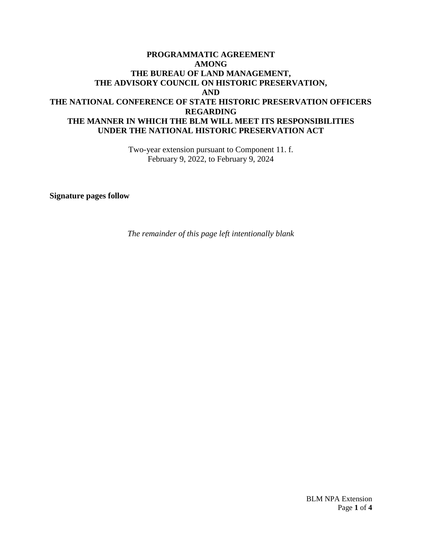## **PROGRAMMATIC AGREEMENT AMONG THE BUREAU OF LAND MANAGEMENT, THE ADVISORY COUNCIL ON HISTORIC PRESERVATION, AND THE NATIONAL CONFERENCE OF STATE HISTORIC PRESERVATION OFFICERS REGARDING THE MANNER IN WHICH THE BLM WILL MEET ITS RESPONSIBILITIES UNDER THE NATIONAL HISTORIC PRESERVATION ACT**

Two-year extension pursuant to Component 11. f. February 9, 2022, to February 9, 2024

**Signature pages follow** 

*The remainder of this page left intentionally blank*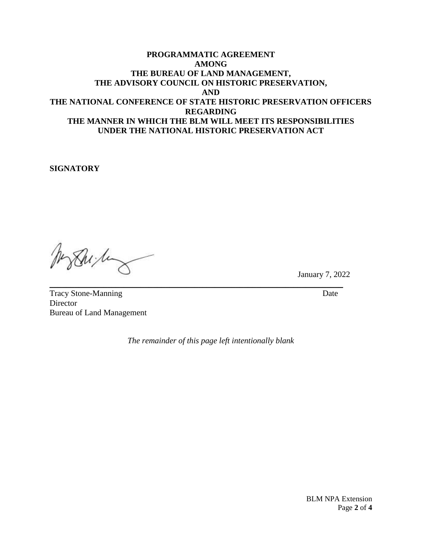## **PROGRAMMATIC AGREEMENT AMONG THE BUREAU OF LAND MANAGEMENT, THE ADVISORY COUNCIL ON HISTORIC PRESERVATION, AND THE NATIONAL CONFERENCE OF STATE HISTORIC PRESERVATION OFFICERS REGARDING THE MANNER IN WHICH THE BLM WILL MEET ITS RESPONSIBILITIES UNDER THE NATIONAL HISTORIC PRESERVATION ACT**

**SIGNATORY** 

Shi ha

January 7, 2022

Tracy Stone-Manning Date **Director** Bureau of Land Management

*The remainder of this page left intentionally blank* 

\_\_\_\_\_\_\_\_\_\_\_\_\_\_\_\_\_\_\_\_\_\_\_\_\_\_\_\_\_\_\_\_\_\_\_\_\_\_\_\_\_\_\_\_\_\_\_\_\_\_\_\_\_\_\_\_\_\_\_\_\_\_\_\_\_\_\_\_\_\_\_

BLM NPA Extension Page **2** of **4**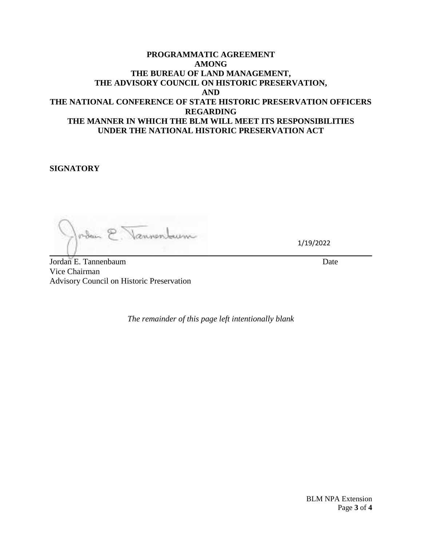## **PROGRAMMATIC AGREEMENT AMONG THE BUREAU OF LAND MANAGEMENT, THE ADVISORY COUNCIL ON HISTORIC PRESERVATION, AND THE NATIONAL CONFERENCE OF STATE HISTORIC PRESERVATION OFFICERS REGARDING THE MANNER IN WHICH THE BLM WILL MEET ITS RESPONSIBILITIES UNDER THE NATIONAL HISTORIC PRESERVATION ACT**

**SIGNATORY** 

oden E. Vannenburn  $\mathbb{E}[\mathbf{z}^{\mathcal{U}}_{\mathbf{z}}] = \mathbb{E}[\mathbf{z}^{\mathcal{U}}_{\mathbf{z}}] = \mathbb{E}[\mathbf{z}^{\mathcal{U}}_{\mathbf{z}}] = \mathbb{E}[\mathbf{z}^{\mathcal{U}}_{\mathbf{z}}] = \mathbb{E}[\mathbf{z}^{\mathcal{U}}_{\mathbf{z}}] = \mathbb{E}[\mathbf{z}^{\mathcal{U}}_{\mathbf{z}}] = \mathbb{E}[\mathbf{z}^{\mathcal{U}}_{\mathbf{z}}] = \mathbb{E}[\mathbf{z}^{\mathcal{U}}_{\mathbf{$ 

1/19/2022

Jordan E. Tannenbaum Date Vice Chairman Advisory Council on Historic Preservation

*The remainder of this page left intentionally blank* 

BLM NPA Extension Page **3** of **4**